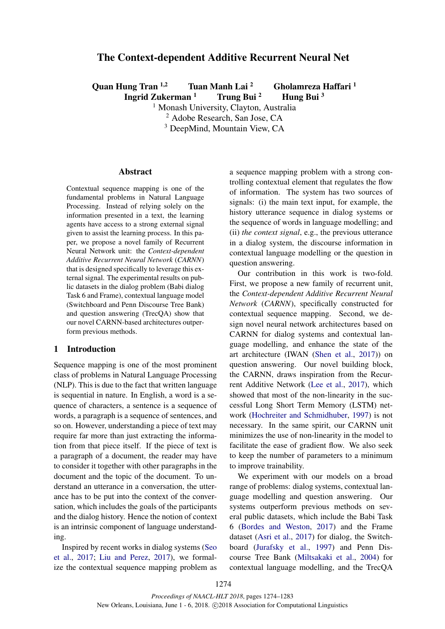# The Context-dependent Additive Recurrent Neural Net

Quan Hung Tran 1,2 Tuan Manh Lai <sup>2</sup> Gholamreza Haffari <sup>1</sup> Ingrid Zukerman <sup>1</sup> Trung Bui <sup>2</sup> Hung Bui <sup>3</sup>

<sup>1</sup> Monash University, Clayton, Australia

<sup>2</sup> Adobe Research, San Jose, CA

<sup>3</sup> DeepMind, Mountain View, CA

## Abstract

Contextual sequence mapping is one of the fundamental problems in Natural Language Processing. Instead of relying solely on the information presented in a text, the learning agents have access to a strong external signal given to assist the learning process. In this paper, we propose a novel family of Recurrent Neural Network unit: the *Context-dependent Additive Recurrent Neural Network* (*CARNN*) that is designed specifically to leverage this external signal. The experimental results on public datasets in the dialog problem (Babi dialog Task 6 and Frame), contextual language model (Switchboard and Penn Discourse Tree Bank) and question answering (TrecQA) show that our novel CARNN-based architectures outperform previous methods.

## 1 Introduction

Sequence mapping is one of the most prominent class of problems in Natural Language Processing (NLP). This is due to the fact that written language is sequential in nature. In English, a word is a sequence of characters, a sentence is a sequence of words, a paragraph is a sequence of sentences, and so on. However, understanding a piece of text may require far more than just extracting the information from that piece itself. If the piece of text is a paragraph of a document, the reader may have to consider it together with other paragraphs in the document and the topic of the document. To understand an utterance in a conversation, the utterance has to be put into the context of the conversation, which includes the goals of the participants and the dialog history. Hence the notion of context is an intrinsic component of language understanding.

Inspired by recent works in dialog systems (Seo et al., 2017; Liu and Perez, 2017), we formalize the contextual sequence mapping problem as a sequence mapping problem with a strong controlling contextual element that regulates the flow of information. The system has two sources of signals: (i) the main text input, for example, the history utterance sequence in dialog systems or the sequence of words in language modelling; and (ii) *the context signal*, e.g., the previous utterance in a dialog system, the discourse information in contextual language modelling or the question in question answering.

Our contribution in this work is two-fold. First, we propose a new family of recurrent unit, the *Context-dependent Additive Recurrent Neural Network* (*CARNN*), specifically constructed for contextual sequence mapping. Second, we design novel neural network architectures based on CARNN for dialog systems and contextual language modelling, and enhance the state of the art architecture (IWAN (Shen et al., 2017)) on question answering. Our novel building block, the CARNN, draws inspiration from the Recurrent Additive Network (Lee et al., 2017), which showed that most of the non-linearity in the successful Long Short Term Memory (LSTM) network (Hochreiter and Schmidhuber, 1997) is not necessary. In the same spirit, our CARNN unit minimizes the use of non-linearity in the model to facilitate the ease of gradient flow. We also seek to keep the number of parameters to a minimum to improve trainability.

We experiment with our models on a broad range of problems: dialog systems, contextual language modelling and question answering. Our systems outperform previous methods on several public datasets, which include the Babi Task 6 (Bordes and Weston, 2017) and the Frame dataset (Asri et al., 2017) for dialog, the Switchboard (Jurafsky et al., 1997) and Penn Discourse Tree Bank (Miltsakaki et al., 2004) for contextual language modelling, and the TrecQA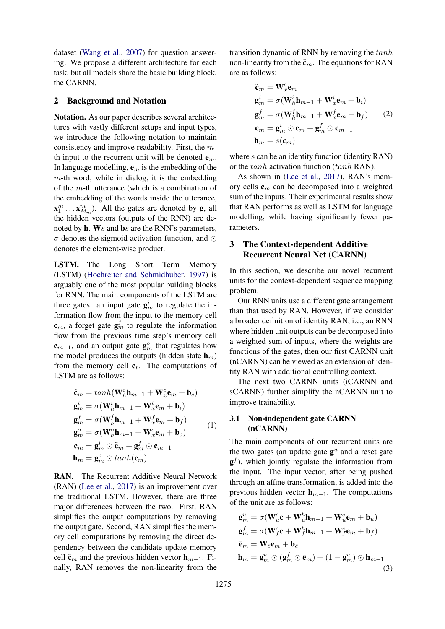dataset (Wang et al., 2007) for question answering. We propose a different architecture for each task, but all models share the basic building block, the CARNN.

### 2 Background and Notation

Notation. As our paper describes several architectures with vastly different setups and input types, we introduce the following notation to maintain consistency and improve readability. First, the mth input to the recurrent unit will be denoted  $e_m$ . In language modelling,  $e_m$  is the embedding of the  $m$ -th word; while in dialog, it is the embedding of the  $m$ -th utterance (which is a combination of the embedding of the words inside the utterance,  $\mathbf{x}_1^m \dots \mathbf{x}_{M_m}^m$ ). All the gates are denoted by **g**, all the hidden vectors (outputs of the RNN) are denoted by **h**. Ws and **b**s are the RNN's parameters,  $\sigma$  denotes the sigmoid activation function, and  $\odot$ denotes the element-wise product.

LSTM. The Long Short Term Memory (LSTM) (Hochreiter and Schmidhuber, 1997) is arguably one of the most popular building blocks for RNN. The main components of the LSTM are three gates: an input gate  $\mathbf{g}_m^i$  to regulate the information flow from the input to the memory cell  $\mathbf{c}_m$ , a forget gate  $\mathbf{g}_m^f$  to regulate the information flow from the previous time step's memory cell  $\mathbf{c}_{m-1}$ , and an output gate  $\mathbf{g}_m^o$  that regulates how the model produces the outputs (hidden state  $h_m$ ) from the memory cell  $c_t$ . The computations of LSTM are as follows:

$$
\tilde{\mathbf{c}}_{m} = \tanh(\mathbf{W}_{h}^{c}\mathbf{h}_{m-1} + \mathbf{W}_{x}^{c}\mathbf{e}_{m} + \mathbf{b}_{c}) \n\mathbf{g}_{m}^{i} = \sigma(\mathbf{W}_{h}^{i}\mathbf{h}_{m-1} + \mathbf{W}_{x}^{i}\mathbf{e}_{m} + \mathbf{b}_{i}) \n\mathbf{g}_{m}^{f} = \sigma(\mathbf{W}_{h}^{f}\mathbf{h}_{m-1} + \mathbf{W}_{x}^{f}\mathbf{e}_{m} + \mathbf{b}_{f}) \n\mathbf{g}_{m}^{o} = \sigma(\mathbf{W}_{h}^{o}\mathbf{h}_{m-1} + \mathbf{W}_{x}^{o}\mathbf{e}_{m} + \mathbf{b}_{o}) \n\mathbf{c}_{m} = \mathbf{g}_{m}^{i} \odot \tilde{\mathbf{c}}_{m} + \mathbf{g}_{m}^{f} \odot \mathbf{c}_{m-1} \n\mathbf{h}_{m} = \mathbf{g}_{m}^{o} \odot \tanh(\mathbf{c}_{m})
$$
\n(1)

RAN. The Recurrent Additive Neural Network (RAN) (Lee et al., 2017) is an improvement over the traditional LSTM. However, there are three major differences between the two. First, RAN simplifies the output computations by removing the output gate. Second, RAN simplifies the memory cell computations by removing the direct dependency between the candidate update memory cell  $\tilde{\mathbf{c}}_m$  and the previous hidden vector  $\mathbf{h}_{m-1}$ . Finally, RAN removes the non-linearity from the transition dynamic of RNN by removing the tanh non-linearity from the  $\tilde{\mathbf{c}}_m$ . The equations for RAN are as follows:

$$
\tilde{\mathbf{c}}_{m} = \mathbf{W}_{x}^{c} \mathbf{e}_{m}
$$
\n
$$
\mathbf{g}_{m}^{i} = \sigma(\mathbf{W}_{h}^{i} \mathbf{h}_{m-1} + \mathbf{W}_{x}^{i} \mathbf{e}_{m} + \mathbf{b}_{i})
$$
\n
$$
\mathbf{g}_{m}^{f} = \sigma(\mathbf{W}_{h}^{f} \mathbf{h}_{m-1} + \mathbf{W}_{x}^{f} \mathbf{e}_{m} + \mathbf{b}_{f})
$$
\n
$$
\mathbf{c}_{m} = \mathbf{g}_{m}^{i} \odot \tilde{\mathbf{c}}_{m} + \mathbf{g}_{m}^{f} \odot \mathbf{c}_{m-1}
$$
\n
$$
\mathbf{h}_{m} = s(\mathbf{c}_{m})
$$
\n(2)

where s can be an identity function (identity RAN) or the tanh activation function (tanh RAN).

As shown in (Lee et al., 2017), RAN's memory cells  $c_m$  can be decomposed into a weighted sum of the inputs. Their experimental results show that RAN performs as well as LSTM for language modelling, while having significantly fewer parameters.

# 3 The Context-dependent Additive Recurrent Neural Net (CARNN)

In this section, we describe our novel recurrent units for the context-dependent sequence mapping problem.

Our RNN units use a different gate arrangement than that used by RAN. However, if we consider a broader definition of identity RAN, i.e., an RNN where hidden unit outputs can be decomposed into a weighted sum of inputs, where the weights are functions of the gates, then our first CARNN unit (nCARNN) can be viewed as an extension of identity RAN with additional controlling context.

The next two CARNN units (iCARNN and sCARNN) further simplify the nCARNN unit to improve trainability.

## 3.1 Non-independent gate CARNN (nCARNN)

The main components of our recurrent units are the two gates (an update gate  $g^u$  and a reset gate  $g^{f}$ ), which jointly regulate the information from the input. The input vector, after being pushed through an affine transformation, is added into the previous hidden vector  $h_{m-1}$ . The computations of the unit are as follows:

$$
\mathbf{g}_m^u = \sigma(\mathbf{W}_u^c \mathbf{c} + \mathbf{W}_u^h \mathbf{h}_{m-1} + \mathbf{W}_u^e \mathbf{e}_m + \mathbf{b}_u)
$$
  
\n
$$
\mathbf{g}_m^f = \sigma(\mathbf{W}_f^c \mathbf{c} + \mathbf{W}_f^h \mathbf{h}_{m-1} + \mathbf{W}_f^e \mathbf{e}_m + \mathbf{b}_f)
$$
  
\n
$$
\bar{\mathbf{e}}_m = \mathbf{W}_e \mathbf{e}_m + \mathbf{b}_e
$$
  
\n
$$
\mathbf{h}_m = \mathbf{g}_m^u \odot (\mathbf{g}_m^f \odot \bar{\mathbf{e}}_m) + (1 - \mathbf{g}_m^u) \odot \mathbf{h}_{m-1}
$$
  
\n(3)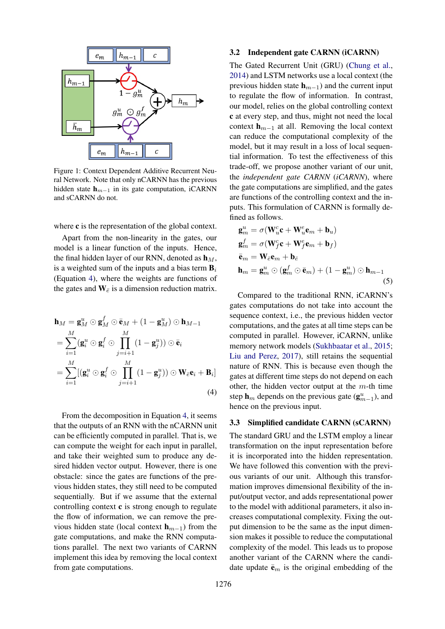

Figure 1: Context Dependent Additive Recurrent Neural Network. Note that only nCARNN has the previous hidden state  $h_{m-1}$  in its gate computation, iCARNN and sCARNN do not.

where **c** is the representation of the global context.

Apart from the non-linearity in the gates, our model is a linear function of the inputs. Hence, the final hidden layer of our RNN, denoted as  $\mathbf{h}_M$ , is a weighted sum of the inputs and a bias term  $B_i$ (Equation 4), where the weights are functions of the gates and  $W_{\bar{e}}$  is a dimension reduction matrix.

$$
\mathbf{h}_M = \mathbf{g}_M^u \odot \mathbf{g}_M^f \odot \bar{\mathbf{e}}_M + (1 - \mathbf{g}_M^u) \odot \mathbf{h}_{M-1}
$$
  
\n
$$
= \sum_{i=1}^M (\mathbf{g}_i^u \odot \mathbf{g}_i^f \odot \prod_{j=i+1}^M (1 - \mathbf{g}_j^u)) \odot \bar{\mathbf{e}}_i
$$
  
\n
$$
= \sum_{i=1}^M [(\mathbf{g}_i^u \odot \mathbf{g}_i^f \odot \prod_{j=i+1}^M (1 - \mathbf{g}_j^u)) \odot \mathbf{W}_{\bar{e}} \mathbf{e}_i + \mathbf{B}_i]
$$
  
\n(4)

From the decomposition in Equation 4, it seems that the outputs of an RNN with the nCARNN unit can be efficiently computed in parallel. That is, we can compute the weight for each input in parallel, and take their weighted sum to produce any desired hidden vector output. However, there is one obstacle: since the gates are functions of the previous hidden states, they still need to be computed sequentially. But if we assume that the external controlling context  $\bf{c}$  is strong enough to regulate the flow of information, we can remove the previous hidden state (local context  $\mathbf{h}_{m-1}$ ) from the gate computations, and make the RNN computations parallel. The next two variants of CARNN implement this idea by removing the local context from gate computations.

## 3.2 Independent gate CARNN (iCARNN)

The Gated Recurrent Unit (GRU) (Chung et al., 2014) and LSTM networks use a local context (the previous hidden state  $h_{m-1}$ ) and the current input to regulate the flow of information. In contrast, our model, relies on the global controlling context c at every step, and thus, might not need the local context  $\mathbf{h}_{m-1}$  at all. Removing the local context can reduce the computational complexity of the model, but it may result in a loss of local sequential information. To test the effectiveness of this trade-off, we propose another variant of our unit, the *independent gate CARNN* (*iCARNN*), where the gate computations are simplified, and the gates are functions of the controlling context and the inputs. This formulation of CARNN is formally defined as follows.

$$
\mathbf{g}_m^u = \sigma(\mathbf{W}_u^c \mathbf{c} + \mathbf{W}_u^e \mathbf{e}_m + \mathbf{b}_u)
$$
  
\n
$$
\mathbf{g}_m^f = \sigma(\mathbf{W}_f^c \mathbf{c} + \mathbf{W}_f^e \mathbf{e}_m + \mathbf{b}_f)
$$
  
\n
$$
\bar{\mathbf{e}}_m = \mathbf{W}_e \bar{\mathbf{e}}_m + \mathbf{b}_e
$$
  
\n
$$
\mathbf{h}_m = \mathbf{g}_m^u \odot (\mathbf{g}_m^f \odot \bar{\mathbf{e}}_m) + (1 - \mathbf{g}_m^u) \odot \mathbf{h}_{m-1}
$$
  
\n(5)

Compared to the traditional RNN, iCARNN's gates computations do not take into account the sequence context, i.e., the previous hidden vector computations, and the gates at all time steps can be computed in parallel. However, iCARNN, unlike memory network models (Sukhbaatar et al., 2015; Liu and Perez, 2017), still retains the sequential nature of RNN. This is because even though the gates at different time steps do not depend on each other, the hidden vector output at the  $m$ -th time step  $\mathbf{h}_m$  depends on the previous gate  $(\mathbf{g}_{m-1}^u)$ , and hence on the previous input.

### 3.3 Simplified candidate CARNN (sCARNN)

The standard GRU and the LSTM employ a linear transformation on the input representation before it is incorporated into the hidden representation. We have followed this convention with the previous variants of our unit. Although this transformation improves dimensional flexibility of the input/output vector, and adds representational power to the model with additional parameters, it also increases computational complexity. Fixing the output dimension to be the same as the input dimension makes it possible to reduce the computational complexity of the model. This leads us to propose another variant of the CARNN where the candidate update  $\bar{\mathbf{e}}_m$  is the original embedding of the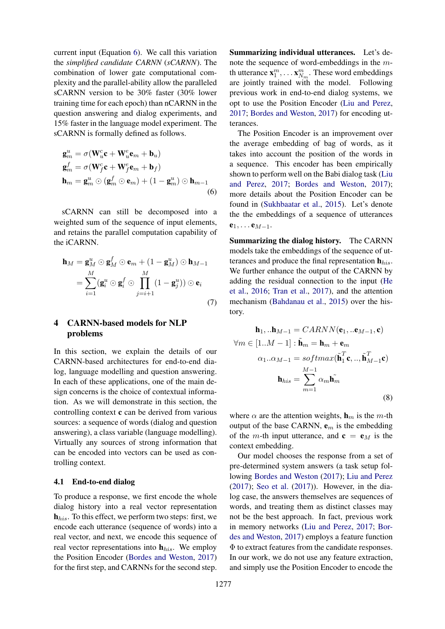current input (Equation 6). We call this variation the *simplified candidate CARNN* (*sCARNN*). The combination of lower gate computational complexity and the parallel-ability allow the paralleled sCARNN version to be 30% faster (30% lower training time for each epoch) than nCARNN in the question answering and dialog experiments, and 15% faster in the language model experiment. The sCARNN is formally defined as follows.

$$
\mathbf{g}_m^u = \sigma(\mathbf{W}_u^c \mathbf{c} + \mathbf{W}_u^e \mathbf{e}_m + \mathbf{b}_u)
$$
  
\n
$$
\mathbf{g}_m^f = \sigma(\mathbf{W}_f^c \mathbf{c} + \mathbf{W}_f^e \mathbf{e}_m + \mathbf{b}_f)
$$
  
\n
$$
\mathbf{h}_m = \mathbf{g}_m^u \odot (\mathbf{g}_m^f \odot \mathbf{e}_m) + (1 - \mathbf{g}_m^u) \odot \mathbf{h}_{m-1}
$$
  
\n(6)

sCARNN can still be decomposed into a weighted sum of the sequence of input elements, and retains the parallel computation capability of the iCARNN.

$$
\mathbf{h}_M = \mathbf{g}_M^u \odot \mathbf{g}_M^f \odot \mathbf{e}_m + (1 - \mathbf{g}_M^u) \odot \mathbf{h}_{M-1}
$$

$$
= \sum_{i=1}^M (\mathbf{g}_i^u \odot \mathbf{g}_i^f \odot \prod_{j=i+1}^M (1 - \mathbf{g}_j^u)) \odot \mathbf{e}_i
$$
(7)

# 4 CARNN-based models for NLP problems

In this section, we explain the details of our CARNN-based architectures for end-to-end dialog, language modelling and question answering. In each of these applications, one of the main design concerns is the choice of contextual information. As we will demonstrate in this section, the controlling context c can be derived from various sources: a sequence of words (dialog and question answering), a class variable (language modelling). Virtually any sources of strong information that can be encoded into vectors can be used as controlling context.

#### 4.1 End-to-end dialog

To produce a response, we first encode the whole dialog history into a real vector representation  $h_{his}$ . To this effect, we perform two steps: first, we encode each utterance (sequence of words) into a real vector, and next, we encode this sequence of real vector representations into  $\mathbf{h}_{his}$ . We employ the Position Encoder (Bordes and Weston, 2017) for the first step, and CARNNs for the second step.

Summarizing individual utterances. Let's denote the sequence of word-embeddings in the mth utterance  $\mathbf{x}_1^m, \dots, \mathbf{x}_{N_m}^m$ . These word embeddings are jointly trained with the model. Following previous work in end-to-end dialog systems, we opt to use the Position Encoder (Liu and Perez, 2017; Bordes and Weston, 2017) for encoding utterances.

The Position Encoder is an improvement over the average embedding of bag of words, as it takes into account the position of the words in a sequence. This encoder has been empirically shown to perform well on the Babi dialog task (Liu and Perez, 2017; Bordes and Weston, 2017); more details about the Position Encoder can be found in (Sukhbaatar et al., 2015). Let's denote the the embeddings of a sequence of utterances  $e_1, \ldots e_{M-1}.$ 

Summarizing the dialog history. The CARNN models take the embeddings of the sequence of utterances and produce the final representation  $\mathbf{h}_{his}$ . We further enhance the output of the CARNN by adding the residual connection to the input (He et al., 2016; Tran et al., 2017), and the attention mechanism (Bahdanau et al., 2015) over the history.

$$
\mathbf{h}_{1}, \dots \mathbf{h}_{M-1} = CARNN(\mathbf{e}_{1}, \dots \mathbf{e}_{M-1}, \mathbf{c})
$$
  
\n
$$
\forall m \in [1..M-1] : \tilde{\mathbf{h}}_{m} = \mathbf{h}_{m} + \mathbf{e}_{m}
$$
  
\n
$$
\alpha_{1}...\alpha_{M-1} = softmax(\tilde{\mathbf{h}}_{1}^{T}\mathbf{c}, .., \tilde{\mathbf{h}}_{M-1}^{T}\mathbf{c})
$$
  
\n
$$
\mathbf{h}_{his} = \sum_{m=1}^{M-1} \alpha_{m} \mathbf{h}_{m}^{T}
$$
  
\n(8)

where  $\alpha$  are the attention weights,  $\mathbf{h}_m$  is the m-th output of the base CARNN,  $e_m$  is the embedding of the m-th input utterance, and  $\mathbf{c} = \mathbf{e}_M$  is the context embedding.

Our model chooses the response from a set of pre-determined system answers (a task setup following Bordes and Weston (2017); Liu and Perez (2017); Seo et al. (2017)). However, in the dialog case, the answers themselves are sequences of words, and treating them as distinct classes may not be the best approach. In fact, previous work in memory networks (Liu and Perez, 2017; Bordes and Weston, 2017) employs a feature function Φ to extract features from the candidate responses. In our work, we do not use any feature extraction, and simply use the Position Encoder to encode the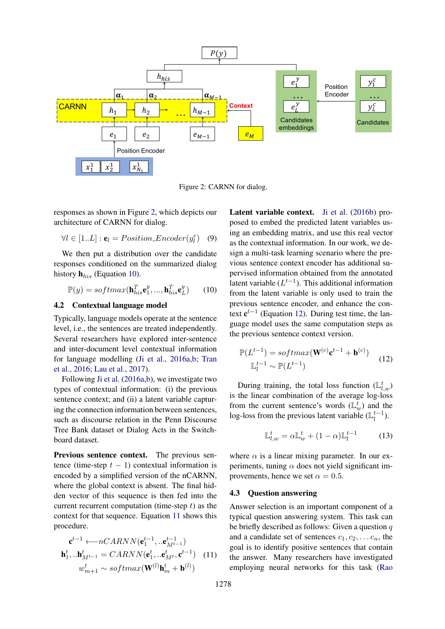

Figure 2: CARNN for dialog.

responses as shown in Figure 2, which depicts our architecture of CARNN for dialog.

$$
\forall l \in [1..L] : \mathbf{e}_l = Position\_Encoder(y_l^c) \quad (9)
$$

We then put a distribution over the candidate responses conditioned on the summarized dialog history  $h_{his}$  (Equation 10).

$$
\mathbb{P}(y) = softmax(\mathbf{h}_{his}^T \mathbf{e}_1^y, ..., \mathbf{h}_{his}^T \mathbf{e}_L^y) \qquad (10)
$$

### 4.2 Contextual language model

Typically, language models operate at the sentence level, i.e., the sentences are treated independently. Several researchers have explored inter-sentence and inter-document level contextual information for language modelling (Ji et al., 2016a,b; Tran et al., 2016; Lau et al., 2017).

Following Ji et al. (2016a,b), we investigate two types of contextual information: (i) the previous sentence context; and (ii) a latent variable capturing the connection information between sentences, such as discourse relation in the Penn Discourse Tree Bank dataset or Dialog Acts in the Switchboard dataset.

Previous sentence context. The previous sentence (time-step  $t - 1$ ) contextual information is encoded by a simplified version of the nCARNN, where the global context is absent. The final hidden vector of this sequence is then fed into the current recurrent computation (time-step  $t$ ) as the context for that sequence. Equation 11 shows this procedure.

$$
\mathbf{c}^{t-1} \longleftarrow nCARNN(\mathbf{e}_1^{t-1}, \dots \mathbf{e}_{M^{t-1}}^{t-1})
$$

$$
\mathbf{h}_1^t, \dots \mathbf{h}_{M^{t-1}}^t = CARNN(\mathbf{e}_1^t, \dots \mathbf{e}_{M^t}^t, \mathbf{c}^{t-1}) \quad (11)
$$

$$
w_{m+1}^t \sim softmax(\mathbf{W}^{(l)}\mathbf{h}_m^t + \mathbf{b}^{(l)})
$$

Latent variable context. Ji et al. (2016b) proposed to embed the predicted latent variables using an embedding matrix, and use this real vector as the contextual information. In our work, we design a multi-task learning scenario where the previous sentence context encoder has additional supervised information obtained from the annotated latent variable  $(L^{t-1})$ . This additional information from the latent variable is only used to train the previous sentence encoder, and enhance the context  ${\bf c}^{t-1}$  (Equation 12). During test time, the language model uses the same computation steps as the previous sentence context version.

$$
\mathbb{P}(L^{t-1}) = softmax(\mathbf{W}^{(c)}\mathbf{c}^{t-1} + \mathbf{b}^{(c)})
$$
  

$$
\mathbb{L}_l^{t-1} \sim \mathbb{P}(L^{t-1})
$$
 (12)

During training, the total loss function  $(\mathbb{L}_{l,w}^t)$ is the linear combination of the average log-loss from the current sentence's words  $(\mathbb{L}_w^t)$  and the log-loss from the previous latent variable  $(\mathbb{L}_l^{t-1})$ .

$$
\mathbb{L}_{l,w}^t = \alpha \mathbb{L}_w^t + (1 - \alpha) \mathbb{L}_l^{t-1} \tag{13}
$$

where  $\alpha$  is a linear mixing parameter. In our experiments, tuning  $\alpha$  does not yield significant improvements, hence we set  $\alpha = 0.5$ .

#### 4.3 Question answering

Answer selection is an important component of a typical question answering system. This task can be briefly described as follows: Given a question  $q$ and a candidate set of sentences  $c_1, c_2, \ldots c_n$ , the goal is to identify positive sentences that contain the answer. Many researchers have investigated employing neural networks for this task (Rao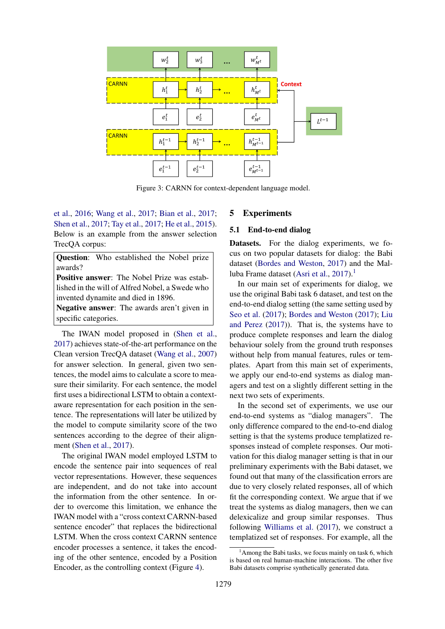

Figure 3: CARNN for context-dependent language model.

et al., 2016; Wang et al., 2017; Bian et al., 2017; Shen et al., 2017; Tay et al., 2017; He et al., 2015). Below is an example from the answer selection TrecQA corpus:

Question: Who established the Nobel prize awards?

Positive answer: The Nobel Prize was established in the will of Alfred Nobel, a Swede who invented dynamite and died in 1896.

Negative answer: The awards aren't given in specific categories.

The IWAN model proposed in (Shen et al., 2017) achieves state-of-the-art performance on the Clean version TrecQA dataset (Wang et al., 2007) for answer selection. In general, given two sentences, the model aims to calculate a score to measure their similarity. For each sentence, the model first uses a bidirectional LSTM to obtain a contextaware representation for each position in the sentence. The representations will later be utilized by the model to compute similarity score of the two sentences according to the degree of their alignment (Shen et al., 2017).

The original IWAN model employed LSTM to encode the sentence pair into sequences of real vector representations. However, these sequences are independent, and do not take into account the information from the other sentence. In order to overcome this limitation, we enhance the IWAN model with a "cross context CARNN-based sentence encoder" that replaces the bidirectional LSTM. When the cross context CARNN sentence encoder processes a sentence, it takes the encoding of the other sentence, encoded by a Position Encoder, as the controlling context (Figure 4).

## 5 Experiments

#### 5.1 End-to-end dialog

Datasets. For the dialog experiments, we focus on two popular datasets for dialog: the Babi dataset (Bordes and Weston, 2017) and the Malluba Frame dataset (Asri et al., 2017).<sup>1</sup>

In our main set of experiments for dialog, we use the original Babi task 6 dataset, and test on the end-to-end dialog setting (the same setting used by Seo et al. (2017); Bordes and Weston (2017); Liu and Perez (2017)). That is, the systems have to produce complete responses and learn the dialog behaviour solely from the ground truth responses without help from manual features, rules or templates. Apart from this main set of experiments, we apply our end-to-end systems as dialog managers and test on a slightly different setting in the next two sets of experiments.

In the second set of experiments, we use our end-to-end systems as "dialog managers". The only difference compared to the end-to-end dialog setting is that the systems produce templatized responses instead of complete responses. Our motivation for this dialog manager setting is that in our preliminary experiments with the Babi dataset, we found out that many of the classification errors are due to very closely related responses, all of which fit the corresponding context. We argue that if we treat the systems as dialog managers, then we can delexicalize and group similar responses. Thus following Williams et al. (2017), we construct a templatized set of responses. For example, all the

<sup>&</sup>lt;sup>1</sup> Among the Babi tasks, we focus mainly on task 6, which is based on real human-machine interactions. The other five Babi datasets comprise synthetically generated data.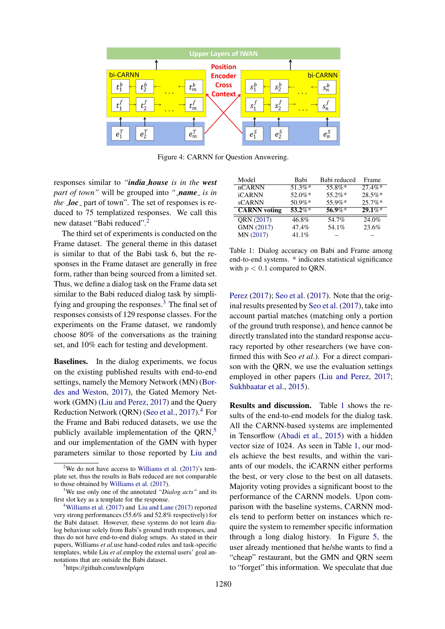

Figure 4: CARNN for Question Answering.

responses similar to *"india house is in the west part of town"* will be grouped into *" name is in the loc* part of town". The set of responses is reduced to 75 templatized responses. We call this new dataset "Babi reduced".<sup>2</sup>

The third set of experiments is conducted on the Frame dataset. The general theme in this dataset is similar to that of the Babi task 6, but the responses in the Frame dataset are generally in free form, rather than being sourced from a limited set. Thus, we define a dialog task on the Frame data set similar to the Babi reduced dialog task by simplifying and grouping the responses.<sup>3</sup> The final set of responses consists of 129 response classes. For the experiments on the Frame dataset, we randomly choose 80% of the conversations as the training set, and 10% each for testing and development.

Baselines. In the dialog experiments, we focus on the existing published results with end-to-end settings, namely the Memory Network (MN) (Bordes and Weston, 2017), the Gated Memory Network (GMN) (Liu and Perez, 2017) and the Query Reduction Network (QRN) (Seo et al., 2017).<sup>4</sup> For the Frame and Babi reduced datasets, we use the publicly available implementation of the  $QRN<sub>5</sub>$ and our implementation of the GMN with hyper parameters similar to those reported by Liu and

5 https://github.com/uwnlp/qrn

| Model               | <b>Babi</b> | Babi reduced | Frame     |
|---------------------|-------------|--------------|-----------|
| nCARNN              | $51.3\%*$   | $55.8\%*$    | $27.4\%*$ |
| <b>iCARNN</b>       | 52.0%*      | $55.2\%*$    | $28.5\%*$ |
| <b>sCARNN</b>       | $50.9\%*$   | 55.9%*       | $25.7\%*$ |
| <b>CARNN</b> voting | $53.2\%$ *  | $56.9\%*$    | $29.1\%$  |
| ORN (2017)          | 46.8%       | 54.7%        | 24.0%     |
| GMN (2017)          | 47.4%       | 54.1%        | 23.6%     |
| MN (2017)           | 41.1%       |              |           |

Table 1: Dialog accuracy on Babi and Frame among end-to-end systems. \* indicates statistical significance with  $p < 0.1$  compared to ORN.

Perez (2017); Seo et al. (2017). Note that the original results presented by Seo et al. (2017), take into account partial matches (matching only a portion of the ground truth response), and hence cannot be directly translated into the standard response accuracy reported by other researchers (we have confirmed this with Seo *et al.*). For a direct comparison with the QRN, we use the evaluation settings employed in other papers (Liu and Perez, 2017; Sukhbaatar et al., 2015).

Results and discussion. Table 1 shows the results of the end-to-end models for the dialog task. All the CARNN-based systems are implemented in Tensorflow (Abadi et al., 2015) with a hidden vector size of 1024. As seen in Table 1, our models achieve the best results, and within the variants of our models, the iCARNN either performs the best, or very close to the best on all datasets. Majority voting provides a significant boost to the performance of the CARNN models. Upon comparison with the baseline systems, CARNN models tend to perform better on instances which require the system to remember specific information through a long dialog history. In Figure 5, the user already mentioned that he/she wants to find a "cheap" restaurant, but the GMN and QRN seem to "forget" this information. We speculate that due

<sup>&</sup>lt;sup>2</sup>We do not have access to Williams et al.  $(2017)$ 's template set, thus the results in Babi reduced are not comparable to those obtained by Williams et al. (2017).

<sup>3</sup>We use only one of the annotated *"Dialog acts"* and its first slot key as a template for the response.

<sup>&</sup>lt;sup>4</sup>Williams et al. (2017) and Liu and Lane (2017) reported very strong performances (55.6% and 52.8% respectively) for the Babi dataset. However, these systems do not learn dialog behaviour solely from Babi's ground truth responses, and thus do not have end-to-end dialog setups. As stated in their papers, Williams *et al.*use hand-coded rules and task-specific templates, while Liu *et al.*employ the external users' goal annotations that are outside the Babi dataset.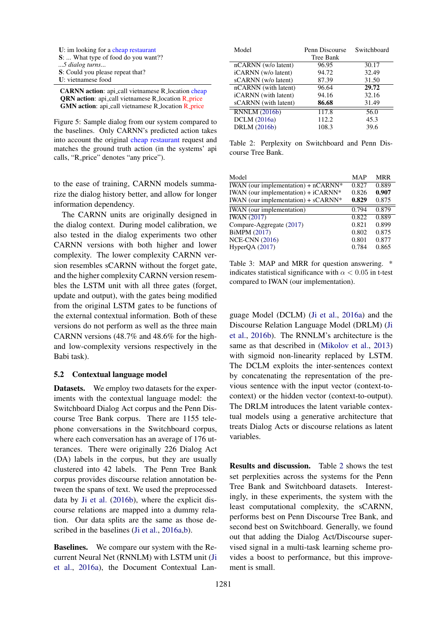| U: im looking for a cheap restaurant |  |  |
|--------------------------------------|--|--|
| S:  What type of food do you want??  |  |  |
| 5 dialog turns                       |  |  |
| S: Could you please repeat that?     |  |  |
| U: vietnamese food                   |  |  |

CARNN action: api\_call vietnamese R\_location cheap **ORN action:** api\_call vietnamese R\_location R\_price GMN action: api\_call vietnamese R\_location R\_price

Figure 5: Sample dialog from our system compared to the baselines. Only CARNN's predicted action takes into account the original cheap restaurant request and matches the ground truth action (in the systems' api calls, "R price" denotes "any price").

to the ease of training, CARNN models summarize the dialog history better, and allow for longer information dependency.

The CARNN units are originally designed in the dialog context. During model calibration, we also tested in the dialog experiments two other CARNN versions with both higher and lower complexity. The lower complexity CARNN version resembles sCARNN without the forget gate, and the higher complexity CARNN version resembles the LSTM unit with all three gates (forget, update and output), with the gates being modified from the original LSTM gates to be functions of the external contextual information. Both of these versions do not perform as well as the three main CARNN versions (48.7% and 48.6% for the highand low-complexity versions respectively in the Babi task).

### 5.2 Contextual language model

Datasets. We employ two datasets for the experiments with the contextual language model: the Switchboard Dialog Act corpus and the Penn Discourse Tree Bank corpus. There are 1155 telephone conversations in the Switchboard corpus, where each conversation has an average of 176 utterances. There were originally 226 Dialog Act (DA) labels in the corpus, but they are usually clustered into 42 labels. The Penn Tree Bank corpus provides discourse relation annotation between the spans of text. We used the preprocessed data by Ji et al. (2016b), where the explicit discourse relations are mapped into a dummy relation. Our data splits are the same as those described in the baselines (Ji et al., 2016a,b).

Baselines. We compare our system with the Recurrent Neural Net (RNNLM) with LSTM unit (Ji et al., 2016a), the Document Contextual Lan-

| Model                | Penn Discourse<br>Tree Bank | Switchboard |
|----------------------|-----------------------------|-------------|
|                      |                             |             |
| nCARNN (w/o latent)  | 96.95                       | 30.17       |
| iCARNN (w/o latent)  | 94.72                       | 32.49       |
| sCARNN (w/o latent)  | 87.39                       | 31.50       |
| nCARNN (with latent) | 96.64                       | 29.72       |
| iCARNN (with latent) | 94.16                       | 32.16       |
| sCARNN (with latent) | 86.68                       | 31.49       |
| <b>RNNLM</b> (2016b) | 117.8                       | 56.0        |
| DCLM (2016a)         | 112.2                       | 45.3        |
| DRLM (2016b)         | 108.3                       | 39.6        |

Table 2: Perplexity on Switchboard and Penn Discourse Tree Bank.

| Model                                                   | <b>MAP</b> | <b>MRR</b> |
|---------------------------------------------------------|------------|------------|
| $\overline{\text{IWAN}}$ (our implementation) + nCARNN* | 0.827      | 0.889      |
| IWAN (our implementation) $+$ iCARNN*                   | 0.826      | 0.907      |
| IWAN (our implementation) $+$ sCARNN*                   | 0.829      | 0.875      |
| <b>IWAN</b> (our implementation)                        | 0.794      | 0.879      |
| <b>IWAN (2017)</b>                                      | 0.822      | 0.889      |
| Compare-Aggregate (2017)                                | 0.821      | 0.899      |
| BiMPM (2017)                                            | 0.802      | 0.875      |
| <b>NCE-CNN (2016)</b>                                   | 0.801      | 0.877      |
| HyperOA $(2017)$                                        | 0.784      | 0.865      |

Table 3: MAP and MRR for question answering. \* indicates statistical significance with  $\alpha$  < 0.05 in t-test compared to IWAN (our implementation).

guage Model (DCLM) (Ji et al., 2016a) and the Discourse Relation Language Model (DRLM) (Ji et al., 2016b). The RNNLM's architecture is the same as that described in (Mikolov et al., 2013) with sigmoid non-linearity replaced by LSTM. The DCLM exploits the inter-sentences context by concatenating the representation of the previous sentence with the input vector (context-tocontext) or the hidden vector (context-to-output). The DRLM introduces the latent variable contextual models using a generative architecture that treats Dialog Acts or discourse relations as latent variables.

Results and discussion. Table 2 shows the test set perplexities across the systems for the Penn Tree Bank and Switchboard datasets. Interestingly, in these experiments, the system with the least computational complexity, the sCARNN, performs best on Penn Discourse Tree Bank, and second best on Switchboard. Generally, we found out that adding the Dialog Act/Discourse supervised signal in a multi-task learning scheme provides a boost to performance, but this improvement is small.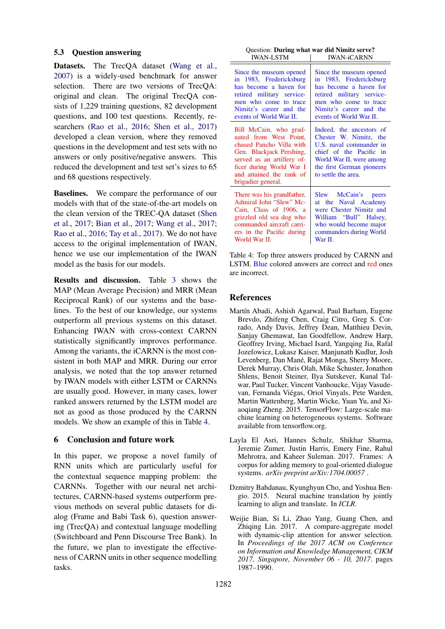## 5.3 Question answering

Datasets. The TrecQA dataset (Wang et al., 2007) is a widely-used benchmark for answer selection. There are two versions of TrecOA: original and clean. The original TrecQA consists of 1,229 training questions, 82 development questions, and 100 test questions. Recently, researchers (Rao et al., 2016; Shen et al., 2017) developed a clean version, where they removed questions in the development and test sets with no answers or only positive/negative answers. This reduced the development and test set's sizes to 65 and 68 questions respectively.

Baselines. We compare the performance of our models with that of the state-of-the-art models on the clean version of the TREC-QA dataset (Shen et al., 2017; Bian et al., 2017; Wang et al., 2017; Rao et al., 2016; Tay et al., 2017). We do not have access to the original implementation of IWAN, hence we use our implementation of the IWAN model as the basis for our models.

Results and discussion. Table 3 shows the MAP (Mean Average Precision) and MRR (Mean Reciprocal Rank) of our systems and the baselines. To the best of our knowledge, our systems outperform all previous systems on this dataset. Enhancing IWAN with cross-context CARNN statistically significantly improves performance. Among the variants, the iCARNN is the most consistent in both MAP and MRR. During our error analysis, we noted that the top answer returned by IWAN models with either LSTM or CARNNs are usually good. However, in many cases, lower ranked answers returned by the LSTM model are not as good as those produced by the CARNN models. We show an example of this in Table 4.

# 6 Conclusion and future work

In this paper, we propose a novel family of RNN units which are particularly useful for the contextual sequence mapping problem: the CARNNs. Together with our neural net architectures, CARNN-based systems outperform previous methods on several public datasets for dialog (Frame and Babi Task 6), question answering (TrecQA) and contextual language modelling (Switchboard and Penn Discourse Tree Bank). In the future, we plan to investigate the effectiveness of CARNN units in other sequence modelling tasks.

| Question: During what war did Nimitz serve?<br><b>IWAN-LSTM</b>                                                                                                                                                      | <b>IWAN-iCARNN</b>                                                                                                                                                                       |
|----------------------------------------------------------------------------------------------------------------------------------------------------------------------------------------------------------------------|------------------------------------------------------------------------------------------------------------------------------------------------------------------------------------------|
| Since the museum opened                                                                                                                                                                                              | Since the museum opened                                                                                                                                                                  |
| in 1983, Fredericksburg                                                                                                                                                                                              | in 1983, Fredericksburg                                                                                                                                                                  |
| has become a haven for                                                                                                                                                                                               | has become a haven for                                                                                                                                                                   |
| retired military service-                                                                                                                                                                                            | retired military service-                                                                                                                                                                |
| men who come to trace                                                                                                                                                                                                | men who come to trace                                                                                                                                                                    |
| Nimitz's career and the                                                                                                                                                                                              | Nimitz's career and the                                                                                                                                                                  |
| events of World War II.                                                                                                                                                                                              | events of World War II.                                                                                                                                                                  |
| Bill McCain, who grad-<br>uated from West Point,<br>chased Pancho Villa with<br>Gen. Blackjack Pershing,<br>served as an artillery of-<br>ficer during World War I<br>and attained the rank of<br>brigadier general. | Indeed, the ancestors of<br>Chester W. Nimitz, the<br>U.S. naval commander in<br>chief of the Pacific in<br>World War II, were among<br>the first German pioneers<br>to settle the area. |
| There was his grandfather,                                                                                                                                                                                           | Slew McCain's peers                                                                                                                                                                      |
| Admiral John "Slew" Mc-                                                                                                                                                                                              | at the Naval Academy                                                                                                                                                                     |
| Cain, Class of 1906, a                                                                                                                                                                                               | were Chester Nimitz and                                                                                                                                                                  |
| grizzled old sea dog who                                                                                                                                                                                             | William "Bull" Halsey,                                                                                                                                                                   |
| commanded aircraft carri-                                                                                                                                                                                            | who would become major                                                                                                                                                                   |
| ers in the Pacific during                                                                                                                                                                                            | commanders during World                                                                                                                                                                  |
| World War II.                                                                                                                                                                                                        | War II.                                                                                                                                                                                  |

Table 4: Top three answers produced by CARNN and LSTM. Blue colored answers are correct and red ones are incorrect.

# References

- Martín Abadi, Ashish Agarwal, Paul Barham, Eugene Brevdo, Zhifeng Chen, Craig Citro, Greg S. Corrado, Andy Davis, Jeffrey Dean, Matthieu Devin, Sanjay Ghemawat, Ian Goodfellow, Andrew Harp, Geoffrey Irving, Michael Isard, Yangqing Jia, Rafal Jozefowicz, Lukasz Kaiser, Manjunath Kudlur, Josh Levenberg, Dan Mané, Rajat Monga, Sherry Moore, Derek Murray, Chris Olah, Mike Schuster, Jonathon Shlens, Benoit Steiner, Ilya Sutskever, Kunal Talwar, Paul Tucker, Vincent Vanhoucke, Vijay Vasudevan, Fernanda Viegas, Oriol Vinyals, Pete Warden, ´ Martin Wattenberg, Martin Wicke, Yuan Yu, and Xiaoqiang Zheng. 2015. TensorFlow: Large-scale machine learning on heterogeneous systems. Software available from tensorflow.org.
- Layla El Asri, Hannes Schulz, Shikhar Sharma, Jeremie Zumer, Justin Harris, Emery Fine, Rahul Mehrotra, and Kaheer Suleman. 2017. Frames: A corpus for adding memory to goal-oriented dialogue systems. *arXiv preprint arXiv:1704.00057* .
- Dzmitry Bahdanau, Kyunghyun Cho, and Yoshua Bengio. 2015. Neural machine translation by jointly learning to align and translate. In *ICLR*.
- Weijie Bian, Si Li, Zhao Yang, Guang Chen, and Zhiqing Lin. 2017. A compare-aggregate model with dynamic-clip attention for answer selection. In *Proceedings of the 2017 ACM on Conference on Information and Knowledge Management, CIKM 2017, Singapore, November 06 - 10, 2017*. pages 1987–1990.